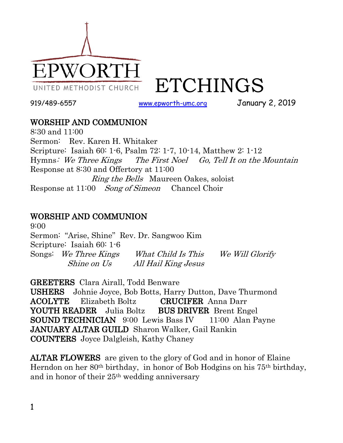

ETCHINGS

919/489-6557 [www.epworth-umc.org](http://www.epworth-umc.org/) January 2, 2019

## WORSHIP AND COMMUNION

8:30 and 11:00 Sermon: Rev. Karen H. Whitaker Scripture: Isaiah 60: 1-6, Psalm 72: 1-7, 10-14, Matthew 2: 1-12 Hymns: We Three Kings The First Noel Go, Tell It on the Mountain Response at 8:30 and Offertory at 11:00 Ring the Bells Maureen Oakes, soloist Response at 11:00 *Song of Simeon* Chancel Choir

# WORSHIP AND COMMUNION

9:00 Sermon: "Arise, Shine" Rev. Dr. Sangwoo Kim Scripture: Isaiah 60: 1-6 Songs: We Three Kings What Child Is This We Will Glorify Shine on Us All Hail King Jesus

GREETERS Clara Airall, Todd Benware

USHERS Johnie Joyce, Bob Botts, Harry Dutton, Dave Thurmond ACOLYTE Elizabeth Boltz CRUCIFER Anna Darr YOUTH READER Julia Boltz BUS DRIVER Brent Engel **SOUND TECHNICIAN** 9:00 Lewis Bass IV 11:00 Alan Payne JANUARY ALTAR GUILD Sharon Walker, Gail Rankin COUNTERS Joyce Dalgleish, Kathy Chaney

ALTAR FLOWERS are given to the glory of God and in honor of Elaine Herndon on her 80th birthday, in honor of Bob Hodgins on his 75th birthday, and in honor of their 25th wedding anniversary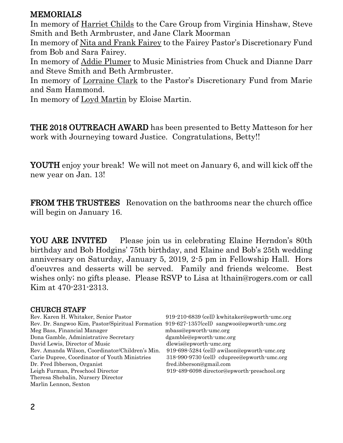### MEMORIALS

In memory of Harriet Childs to the Care Group from Virginia Hinshaw, Steve Smith and Beth Armbruster, and Jane Clark Moorman

In memory of Nita and Frank Fairey to the Fairey Pastor's Discretionary Fund from Bob and Sara Fairey.

In memory of Addie Plumer to Music Ministries from Chuck and Dianne Darr and Steve Smith and Beth Armbruster.

In memory of Lorraine Clark to the Pastor's Discretionary Fund from Marie and Sam Hammond.

In memory of Loyd Martin by Eloise Martin.

THE 2018 OUTREACH AWARD has been presented to Betty Matteson for her work with Journeying toward Justice. Congratulations, Betty!!

YOUTH enjoy your break! We will not meet on January 6, and will kick off the new year on Jan. 13!

FROM THE TRUSTEES Renovation on the bathrooms near the church office will begin on January 16.

YOU ARE INVITED Please join us in celebrating Elaine Herndon's 80th birthday and Bob Hodgins' 75th birthday, and Elaine and Bob's 25th wedding anniversary on Saturday, January 5, 2019, 2-5 pm in Fellowship Hall. Hors d'oeuvres and desserts will be served. Family and friends welcome. Best wishes only; no gifts please. Please RSVP to Lisa at lthain@rogers.com or call Kim at 470-231-2313.

#### CHURCH STAFF

| Rev. Karen H. Whitaker, Senior Pastor            | 919-210-6839 (cell) kwhitaker@epworth-umc.org |
|--------------------------------------------------|-----------------------------------------------|
| Rev. Dr. Sangwoo Kim, Pastor/Spiritual Formation | 919-627-1357(cell) sangwoo@epworth-umc.org    |
| Meg Bass, Financial Manager                      | mbass@epworth-umc.org                         |
| Dona Gamble, Administrative Secretary            | dgamble@epworth-umc.org                       |
| David Lewis, Director of Music                   | dlewis@epworth-umc.org                        |
| Rev. Amanda Wilson, Coordinator/Children's Min.  | 919-698-5284 (cell) awilson@epworth-umc.org   |
| Carie Dupree, Coordinator of Youth Ministries    | 318-990-9730 (cell) cdupree@epworth-umc.org   |
| Dr. Fred Ibberson, Organist                      | fred.ibberson@gmail.com                       |
| Leigh Furman, Preschool Director                 | 919-489-6098 director@epworth-preschool.org   |
| Theresa Shebalin, Nursery Director               |                                               |
| Marlin Lennon, Sexton                            |                                               |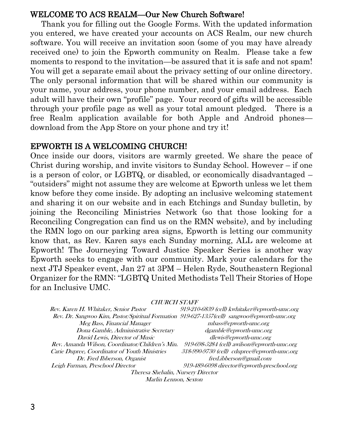### WELCOME TO ACS REALM—Our New Church Software!

 Thank you for filling out the Google Forms. With the updated information you entered, we have created your accounts on ACS Realm, our new church software. You will receive an invitation soon (some of you may have already received one) to join the Epworth community on Realm. Please take a few moments to respond to the invitation—be assured that it is safe and not spam! You will get a separate email about the privacy setting of our online directory. The only personal information that will be shared within our community is your name, your address, your phone number, and your email address. Each adult will have their own "profile" page. Your record of gifts will be accessible through your profile page as well as your total amount pledged. There is a free Realm application available for both Apple and Android phones download from the App Store on your phone and try it!

### EPWORTH IS A WELCOMING CHURCH!

Once inside our doors, visitors are warmly greeted. We share the peace of Christ during worship, and invite visitors to Sunday School. However – if one is a person of color, or LGBTQ, or disabled, or economically disadvantaged – "outsiders" might not assume they are welcome at Epworth unless we let them know before they come inside. By adopting an inclusive welcoming statement and sharing it on our website and in each Etchings and Sunday bulletin, by joining the Reconciling Ministries Network (so that those looking for a Reconciling Congregation can find us on the RMN website), and by including the RMN logo on our parking area signs, Epworth is letting our community know that, as Rev. Karen says each Sunday morning, ALL are welcome at Epworth! The Journeying Toward Justice Speaker Series is another way Epworth seeks to engage with our community. Mark your calendars for the next JTJ Speaker event, Jan 27 at 3PM – Helen Ryde, Southeastern Regional Organizer for the RMN: "LGBTQ United Methodists Tell Their Stories of Hope for an Inclusive UMC.

| <b>CHURCH STAFF</b> |
|---------------------|
|---------------------|

| Rev. Karen H. Whitaker, Senior Pastor                                                       | 919-210-6839 (cell) kwhitaker@epworth-umc.org |  |  |  |  |  |
|---------------------------------------------------------------------------------------------|-----------------------------------------------|--|--|--|--|--|
| Rev. Dr. Sangwoo Kim, Pastor/Spiritual Formation 919-627-1357(cell) sangwoo@epworth-umc.org |                                               |  |  |  |  |  |
| Meg Bass, Financial Manager                                                                 | mbass@epworth-umc.org                         |  |  |  |  |  |
| Dona Gamble, Administrative Secretary                                                       | dgamble@epworth-umc.org                       |  |  |  |  |  |
| David Lewis, Director of Music                                                              | dlewis@epworth-umc.org                        |  |  |  |  |  |
| Rev. Amanda Wilson, Coordinator/Children's Min.                                             | 919-698-5284 (cell) awilson@epworth-umc.org   |  |  |  |  |  |
| Carie Dupree, Coordinator of Youth Ministries                                               | 318-990-9730 (cell) cdupree@epworth-umc.org   |  |  |  |  |  |
| Dr. Fred Ibberson, Organist                                                                 | fred.ibberson@gmail.com                       |  |  |  |  |  |
| Leigh Furman, Preschool Director                                                            | 919-489-6098 director@epworth-preschool.org   |  |  |  |  |  |
| Theresa Shebalin, Nursery Director                                                          |                                               |  |  |  |  |  |

Marlin Lennon, Sexton